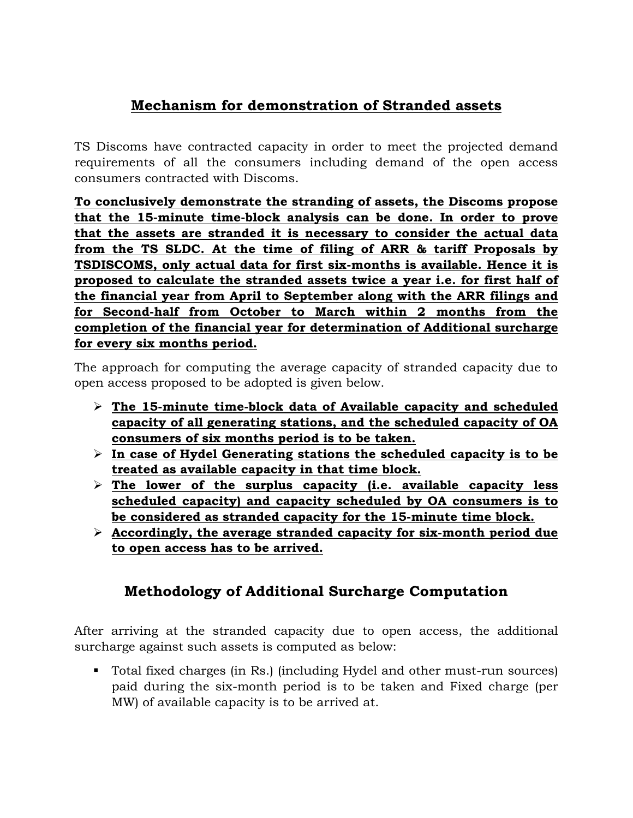## **Mechanism for demonstration of Stranded assets**

TS Discoms have contracted capacity in order to meet the projected demand requirements of all the consumers including demand of the open access consumers contracted with Discoms.

**To conclusively demonstrate the stranding of assets, the Discoms propose that the 15-minute time-block analysis can be done. In order to prove that the assets are stranded it is necessary to consider the actual data from the TS SLDC. At the time of filing of ARR & tariff Proposals by TSDISCOMS, only actual data for first six-months is available. Hence it is proposed to calculate the stranded assets twice a year i.e. for first half of the financial year from April to September along with the ARR filings and for Second-half from October to March within 2 months from the completion of the financial year for determination of Additional surcharge for every six months period.**

The approach for computing the average capacity of stranded capacity due to open access proposed to be adopted is given below.

- **The 15-minute time-block data of Available capacity and scheduled capacity of all generating stations, and the scheduled capacity of OA consumers of six months period is to be taken.**
- **In case of Hydel Generating stations the scheduled capacity is to be treated as available capacity in that time block.**
- **The lower of the surplus capacity (i.e. available capacity less scheduled capacity) and capacity scheduled by OA consumers is to be considered as stranded capacity for the 15-minute time block.**
- **Accordingly, the average stranded capacity for six-month period due to open access has to be arrived.**

## **Methodology of Additional Surcharge Computation**

After arriving at the stranded capacity due to open access, the additional surcharge against such assets is computed as below:

 Total fixed charges (in Rs.) (including Hydel and other must-run sources) paid during the six-month period is to be taken and Fixed charge (per MW) of available capacity is to be arrived at.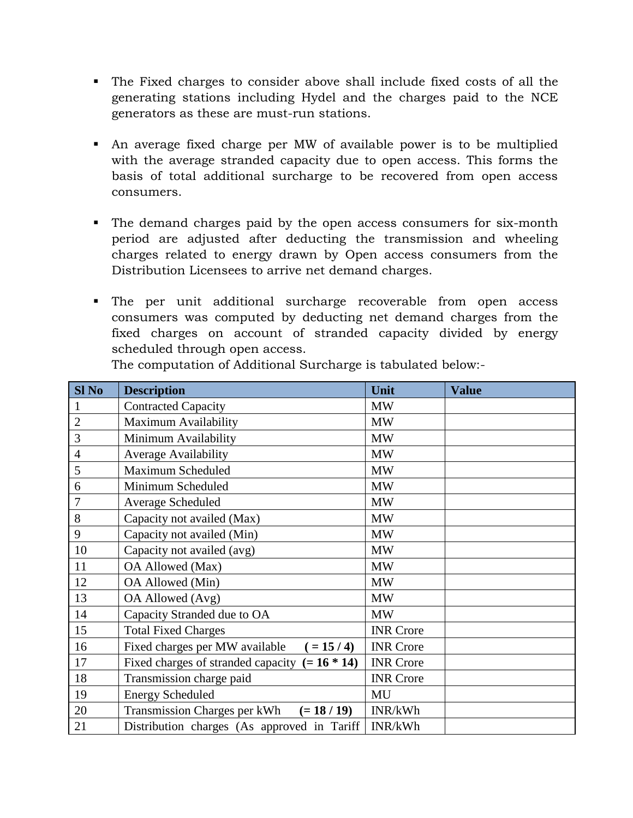- The Fixed charges to consider above shall include fixed costs of all the generating stations including Hydel and the charges paid to the NCE generators as these are must-run stations.
- An average fixed charge per MW of available power is to be multiplied with the average stranded capacity due to open access. This forms the basis of total additional surcharge to be recovered from open access consumers.
- The demand charges paid by the open access consumers for six-month period are adjusted after deducting the transmission and wheeling charges related to energy drawn by Open access consumers from the Distribution Licensees to arrive net demand charges.
- The per unit additional surcharge recoverable from open access consumers was computed by deducting net demand charges from the fixed charges on account of stranded capacity divided by energy scheduled through open access.

| <b>Sl No</b>   | <b>Description</b>                               | Unit             | <b>Value</b> |
|----------------|--------------------------------------------------|------------------|--------------|
| 1              | <b>Contracted Capacity</b>                       | <b>MW</b>        |              |
| $\overline{2}$ | Maximum Availability                             | <b>MW</b>        |              |
| 3              | Minimum Availability                             | <b>MW</b>        |              |
| $\overline{4}$ | <b>Average Availability</b>                      | MW               |              |
| 5              | Maximum Scheduled                                | MW               |              |
| 6              | Minimum Scheduled                                | <b>MW</b>        |              |
| 7              | Average Scheduled                                | <b>MW</b>        |              |
| 8              | Capacity not availed (Max)                       | <b>MW</b>        |              |
| 9              | Capacity not availed (Min)                       | <b>MW</b>        |              |
| 10             | Capacity not availed (avg)                       | <b>MW</b>        |              |
| 11             | OA Allowed (Max)                                 | <b>MW</b>        |              |
| 12             | OA Allowed (Min)                                 | <b>MW</b>        |              |
| 13             | OA Allowed (Avg)                                 | <b>MW</b>        |              |
| 14             | Capacity Stranded due to OA                      | <b>MW</b>        |              |
| 15             | <b>Total Fixed Charges</b>                       | <b>INR</b> Crore |              |
| 16             | Fixed charges per MW available<br>$( = 15 / 4)$  | <b>INR</b> Crore |              |
| 17             | Fixed charges of stranded capacity $(= 16 * 14)$ | <b>INR</b> Crore |              |
| 18             | Transmission charge paid                         | <b>INR</b> Crore |              |
| 19             | <b>Energy Scheduled</b>                          | MU               |              |
| 20             | Transmission Charges per kWh<br>$(= 18 / 19)$    | INR/kWh          |              |
| 21             | Distribution charges (As approved in Tariff)     | INR/kWh          |              |

The computation of Additional Surcharge is tabulated below:-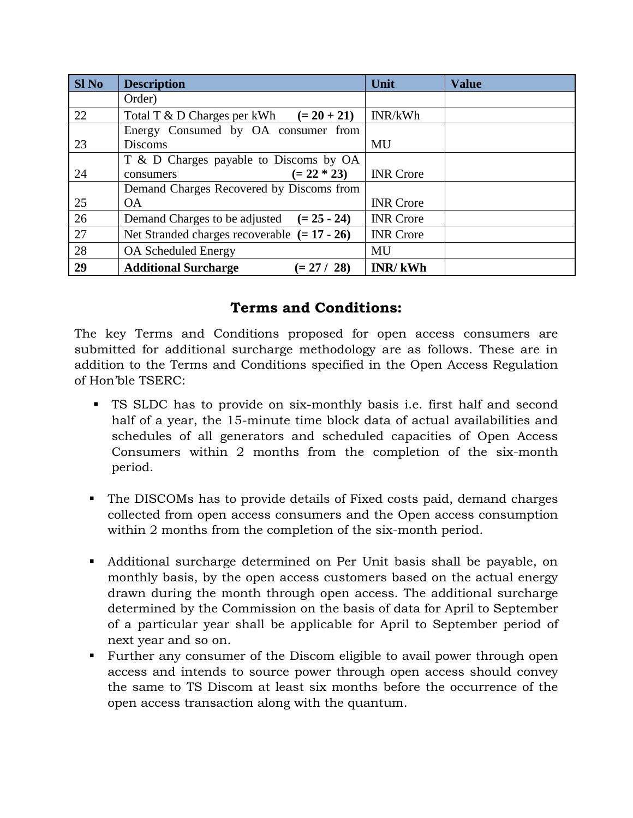| Sl <sub>No</sub> | <b>Description</b>                             | Unit             | <b>Value</b> |
|------------------|------------------------------------------------|------------------|--------------|
|                  | Order)                                         |                  |              |
| 22               | Total T & D Charges per kWh $(= 20 + 21)$      | INR/kWh          |              |
|                  | Energy Consumed by OA consumer from            |                  |              |
| 23               | <b>Discoms</b>                                 | MU               |              |
|                  | T & D Charges payable to Discoms by OA         |                  |              |
| 24               | $(= 22 * 23)$<br>consumers                     | <b>INR</b> Crore |              |
|                  | Demand Charges Recovered by Discoms from       |                  |              |
| 25               | <b>OA</b>                                      | <b>INR</b> Crore |              |
| 26               | Demand Charges to be adjusted $(= 25 - 24)$    | <b>INR</b> Crore |              |
| 27               | Net Stranded charges recoverable $(= 17 - 26)$ | <b>INR</b> Crore |              |
| 28               | <b>OA Scheduled Energy</b>                     | MU               |              |
| 29               | <b>Additional Surcharge</b><br>$(= 27 / 28)$   | <b>INR/kWh</b>   |              |

## **Terms and Conditions:**

The key Terms and Conditions proposed for open access consumers are submitted for additional surcharge methodology are as follows. These are in addition to the Terms and Conditions specified in the Open Access Regulation of Hon'ble TSERC:

- TS SLDC has to provide on six-monthly basis i.e. first half and second half of a year, the 15-minute time block data of actual availabilities and schedules of all generators and scheduled capacities of Open Access Consumers within 2 months from the completion of the six-month period.
- The DISCOMs has to provide details of Fixed costs paid, demand charges collected from open access consumers and the Open access consumption within 2 months from the completion of the six-month period.
- Additional surcharge determined on Per Unit basis shall be payable, on monthly basis, by the open access customers based on the actual energy drawn during the month through open access. The additional surcharge determined by the Commission on the basis of data for April to September of a particular year shall be applicable for April to September period of next year and so on.
- Further any consumer of the Discom eligible to avail power through open access and intends to source power through open access should convey the same to TS Discom at least six months before the occurrence of the open access transaction along with the quantum.